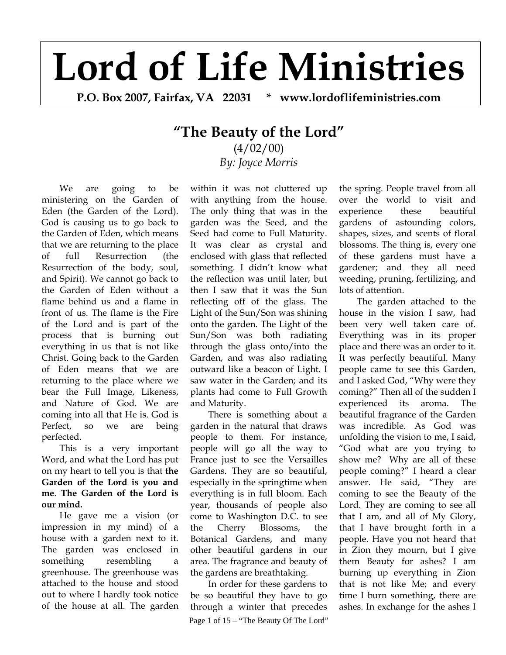## **Lord of Life Ministries**

**P.O. Box 2007, Fairfax, VA 22031 \* www.lordoflifeministries.com** 

## **"The Beauty of the Lord"**

 $(4/02/00)$ *By: Joyce Morris*

We are going to be ministering on the Garden of Eden (the Garden of the Lord). God is causing us to go back to the Garden of Eden, which means that we are returning to the place of full Resurrection (the Resurrection of the body, soul, and Spirit). We cannot go back to the Garden of Eden without a flame behind us and a flame in front of us. The flame is the Fire of the Lord and is part of the process that is burning out everything in us that is not like Christ. Going back to the Garden of Eden means that we are returning to the place where we bear the Full Image, Likeness, and Nature of God. We are coming into all that He is. God is Perfect, so we are being perfected.

This is a very important Word, and what the Lord has put on my heart to tell you is that **the Garden of the Lord is you and me**. **The Garden of the Lord is our mind.** 

He gave me a vision (or impression in my mind) of a house with a garden next to it. The garden was enclosed in something resembling a greenhouse. The greenhouse was attached to the house and stood out to where I hardly took notice of the house at all. The garden

within it was not cluttered up with anything from the house. The only thing that was in the garden was the Seed, and the Seed had come to Full Maturity. It was clear as crystal and enclosed with glass that reflected something. I didn't know what the reflection was until later, but then I saw that it was the Sun reflecting off of the glass. The Light of the Sun/Son was shining onto the garden. The Light of the Sun/Son was both radiating through the glass onto/into the Garden, and was also radiating outward like a beacon of Light. I saw water in the Garden; and its plants had come to Full Growth and Maturity.

There is something about a garden in the natural that draws people to them. For instance, people will go all the way to France just to see the Versailles Gardens. They are so beautiful, especially in the springtime when everything is in full bloom. Each year, thousands of people also come to Washington D.C. to see the Cherry Blossoms, the Botanical Gardens, and many other beautiful gardens in our area. The fragrance and beauty of the gardens are breathtaking.

Page 1 of 15 – "The Beauty Of The Lord" In order for these gardens to be so beautiful they have to go through a winter that precedes the spring. People travel from all over the world to visit and experience these beautiful gardens of astounding colors, shapes, sizes, and scents of floral blossoms. The thing is, every one of these gardens must have a gardener; and they all need weeding, pruning, fertilizing, and lots of attention.

The garden attached to the house in the vision I saw, had been very well taken care of. Everything was in its proper place and there was an order to it. It was perfectly beautiful. Many people came to see this Garden, and I asked God, "Why were they coming?" Then all of the sudden I experienced its aroma. The beautiful fragrance of the Garden was incredible. As God was unfolding the vision to me, I said, "God what are you trying to show me? Why are all of these people coming?" I heard a clear answer. He said, "They are coming to see the Beauty of the Lord. They are coming to see all that I am, and all of My Glory, that I have brought forth in a people. Have you not heard that in Zion they mourn, but I give them Beauty for ashes? I am burning up everything in Zion that is not like Me; and every time I burn something, there are ashes. In exchange for the ashes I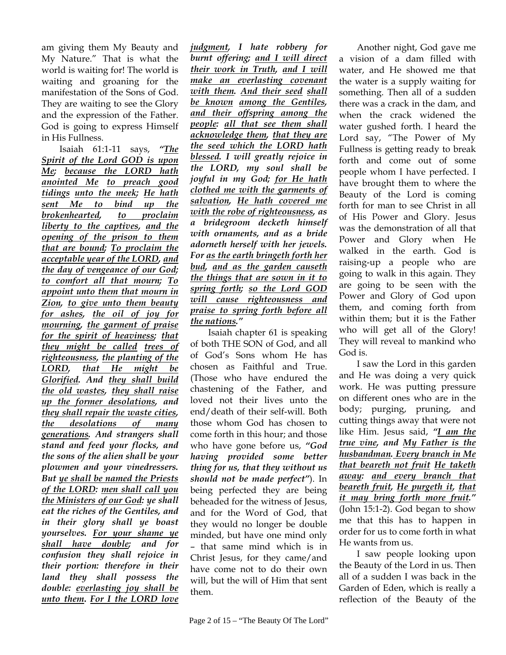am giving them My Beauty and My Nature." That is what the world is waiting for! The world is waiting and groaning for the manifestation of the Sons of God. They are waiting to see the Glory and the expression of the Father. God is going to express Himself in His Fullness.

Isaiah 61:1-11 says, *"The Spirit of the Lord GOD is upon Me; because the LORD hath anointed Me to preach good tidings unto the meek; He hath sent Me to bind up the brokenhearted, to proclaim liberty to the captives, and the opening of the prison to them that are bound; To proclaim the acceptable year of the LORD, and the day of vengeance of our God; to comfort all that mourn; To appoint unto them that mourn in Zion, to give unto them beauty for ashes, the oil of joy for mourning, the garment of praise for the spirit of heaviness; that they might be called trees of righteousness, the planting of the LORD, that He might be Glorified. And they shall build the old wastes, they shall raise up the former desolations, and they shall repair the waste cities, the desolations of many generations. And strangers shall stand and feed your flocks, and the sons of the alien shall be your plowmen and your vinedressers. But ye shall be named the Priests of the LORD: men shall call you the Ministers of our God: ye shall eat the riches of the Gentiles, and in their glory shall ye boast yourselves. For your shame ye shall have double; and for confusion they shall rejoice in their portion: therefore in their land they shall possess the double: everlasting joy shall be unto them***.** *For I the LORD love* 

*judgment, I hate robbery for burnt offering; and I will direct their work in Truth, and I will make an everlasting covenant with them. And their seed shall be known among the Gentiles, and their offspring among the people: all that see them shall acknowledge them, that they are the seed which the LORD hath blessed. I will greatly rejoice in the LORD, my soul shall be joyful in my God; for He hath clothed me with the garments of salvation, He hath covered me with the robe of righteousness, as a bridegroom decketh himself with ornaments, and as a bride adorneth herself with her jewels. For as the earth bringeth forth her bud, and as the garden causeth the things that are sown in it to spring forth; so the Lord GOD will cause righteousness and praise to spring forth before all the nations."* 

Isaiah chapter 61 is speaking of both THE SON of God, and all of God's Sons whom He has chosen as Faithful and True. (Those who have endured the chastening of the Father, and loved not their lives unto the end/death of their self-will. Both those whom God has chosen to come forth in this hour; and those who have gone before us, *"God having provided some better thing for us, that they without us should not be made perfect"*). In being perfected they are being beheaded for the witness of Jesus, and for the Word of God, that they would no longer be double minded, but have one mind only – that same mind which is in Christ Jesus, for they came/and have come not to do their own will, but the will of Him that sent them.

Another night, God gave me a vision of a dam filled with water, and He showed me that the water is a supply waiting for something. Then all of a sudden there was a crack in the dam, and when the crack widened the water gushed forth. I heard the Lord say, "The Power of My Fullness is getting ready to break forth and come out of some people whom I have perfected. I have brought them to where the Beauty of the Lord is coming forth for man to see Christ in all of His Power and Glory. Jesus was the demonstration of all that Power and Glory when He walked in the earth. God is raising-up a people who are going to walk in this again. They are going to be seen with the Power and Glory of God upon them, and coming forth from within them; but it is the Father who will get all of the Glory! They will reveal to mankind who God is.

I saw the Lord in this garden and He was doing a very quick work. He was putting pressure on different ones who are in the body; purging, pruning, and cutting things away that were not like Him. Jesus said, *"I am the true vine, and My Father is the husbandman. Every branch in Me that beareth not fruit He taketh away: and every branch that beareth fruit, He purgeth it, that it may bring forth more fruit."* (John 15:1-2). God began to show me that this has to happen in order for us to come forth in what He wants from us.

I saw people looking upon the Beauty of the Lord in us. Then all of a sudden I was back in the Garden of Eden, which is really a reflection of the Beauty of the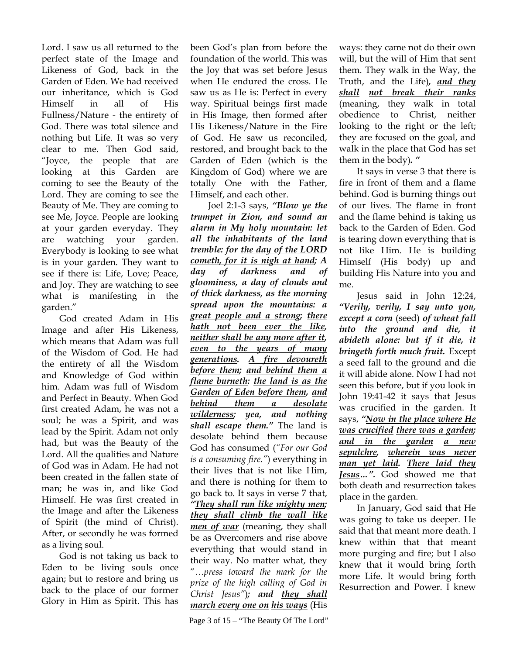Lord. I saw us all returned to the perfect state of the Image and Likeness of God, back in the Garden of Eden. We had received our inheritance, which is God Himself in all of His Fullness/Nature - the entirety of God. There was total silence and nothing but Life. It was so very clear to me. Then God said, "Joyce, the people that are looking at this Garden are coming to see the Beauty of the Lord. They are coming to see the Beauty of Me. They are coming to see Me, Joyce. People are looking at your garden everyday. They are watching your garden. Everybody is looking to see what is in your garden. They want to see if there is: Life, Love; Peace, and Joy. They are watching to see what is manifesting in the garden."

God created Adam in His Image and after His Likeness, which means that Adam was full of the Wisdom of God. He had the entirety of all the Wisdom and Knowledge of God within him. Adam was full of Wisdom and Perfect in Beauty. When God first created Adam, he was not a soul; he was a Spirit, and was lead by the Spirit. Adam not only had, but was the Beauty of the Lord. All the qualities and Nature of God was in Adam. He had not been created in the fallen state of man; he was in, and like God Himself. He was first created in the Image and after the Likeness of Spirit (the mind of Christ). After, or secondly he was formed as a living soul.

God is not taking us back to Eden to be living souls once again; but to restore and bring us back to the place of our former Glory in Him as Spirit. This has been God's plan from before the foundation of the world. This was the Joy that was set before Jesus when He endured the cross. He saw us as He is: Perfect in every way. Spiritual beings first made in His Image, then formed after His Likeness/Nature in the Fire of God. He saw us reconciled, restored, and brought back to the Garden of Eden (which is the Kingdom of God) where we are totally One with the Father, Himself, and each other.

Joel 2:1-3 says, *"Blow ye the trumpet in Zion, and sound an alarm in My holy mountain: let all the inhabitants of the land tremble: for the day of the LORD cometh, for it is nigh at hand; A day of darkness and of gloominess, a day of clouds and of thick darkness, as the morning spread upon the mountains: a great people and a strong; there hath not been ever the like, neither shall be any more after it, even to the years of many generations. A fire devoureth before them; and behind them a flame burneth: the land is as the Garden of Eden before them, and behind them a desolate wilderness; yea, and nothing shall escape them."* The land is desolate behind them because God has consumed (*"For our God is a consuming fire."*) everything in their lives that is not like Him, and there is nothing for them to go back to. It says in verse 7 that, *"They shall run like mighty men; they shall climb the wall like men of war* (meaning, they shall be as Overcomers and rise above everything that would stand in their way. No matter what, they "…*press toward the mark for the prize of the high calling of God in Christ Jesus"*)*; and they shall march every one on his ways* (His

Page 3 of 15 – "The Beauty Of The Lord"

ways: they came not do their own will, but the will of Him that sent them. They walk in the Way, the Truth, and the Life)*, and they shall not break their ranks* (meaning, they walk in total obedience to Christ, neither looking to the right or the left; they are focused on the goal, and walk in the place that God has set them in the body)*. "* 

It says in verse 3 that there is fire in front of them and a flame behind. God is burning things out of our lives. The flame in front and the flame behind is taking us back to the Garden of Eden. God is tearing down everything that is not like Him. He is building Himself (His body) up and building His Nature into you and me.

Jesus said in John 12:24, *"Verily, verily, I say unto you, except a corn* (seed) *of wheat fall into the ground and die, it abideth alone: but if it die, it bringeth forth much fruit.* Except a seed fall to the ground and die it will abide alone. Now I had not seen this before, but if you look in John 19:41-42 it says that Jesus was crucified in the garden. It says, *"Now in the place where He was crucified there was a garden; and in the garden a new sepulchre, wherein was never man yet laid. There laid they Jesus…".* God showed me that both death and resurrection takes place in the garden.

In January, God said that He was going to take us deeper. He said that that meant more death. I knew within that that meant more purging and fire; but I also knew that it would bring forth more Life. It would bring forth Resurrection and Power. I knew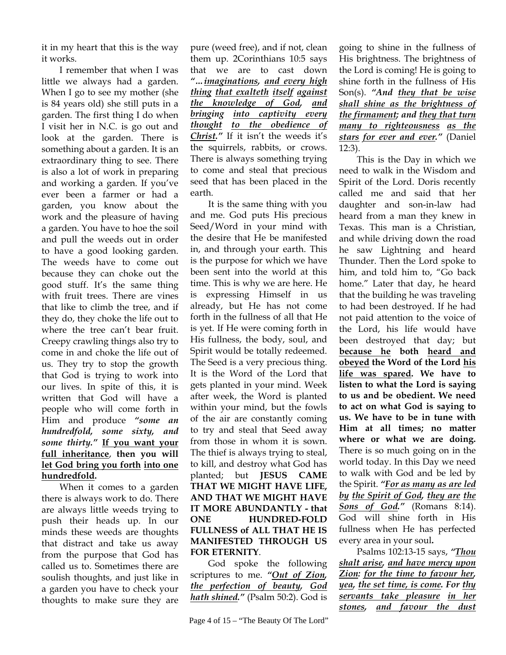it in my heart that this is the way it works.

I remember that when I was little we always had a garden. When I go to see my mother (she is 84 years old) she still puts in a garden. The first thing I do when I visit her in N.C. is go out and look at the garden. There is something about a garden. It is an extraordinary thing to see. There is also a lot of work in preparing and working a garden. If you've ever been a farmer or had a garden, you know about the work and the pleasure of having a garden. You have to hoe the soil and pull the weeds out in order to have a good looking garden. The weeds have to come out because they can choke out the good stuff. It's the same thing with fruit trees. There are vines that like to climb the tree, and if they do, they choke the life out to where the tree can't bear fruit. Creepy crawling things also try to come in and choke the life out of us. They try to stop the growth that God is trying to work into our lives. In spite of this, it is written that God will have a people who will come forth in Him and produce *"some an hundredfold, some sixty, and some thirty."* **If you want your full inheritance**, **then you will let God bring you forth into one hundredfold.**

When it comes to a garden there is always work to do. There are always little weeds trying to push their heads up. In our minds these weeds are thoughts that distract and take us away from the purpose that God has called us to. Sometimes there are soulish thoughts, and just like in a garden you have to check your thoughts to make sure they are

pure (weed free), and if not, clean them up. 2Corinthians 10:5 says that we are to cast down *"…imaginations, and every high thing that exalteth itself against the knowledge of God, and bringing into captivity every thought to the obedience of Christ."* If it isn't the weeds it's the squirrels, rabbits, or crows. There is always something trying to come and steal that precious seed that has been placed in the earth.

It is the same thing with you and me. God puts His precious Seed/Word in your mind with the desire that He be manifested in, and through your earth. This is the purpose for which we have been sent into the world at this time. This is why we are here. He is expressing Himself in us already, but He has not come forth in the fullness of all that He is yet. If He were coming forth in His fullness, the body, soul, and Spirit would be totally redeemed. The Seed is a very precious thing. It is the Word of the Lord that gets planted in your mind. Week after week, the Word is planted within your mind, but the fowls of the air are constantly coming to try and steal that Seed away from those in whom it is sown. The thief is always trying to steal, to kill, and destroy what God has planted; but **JESUS CAME THAT WE MIGHT HAVE LIFE, AND THAT WE MIGHT HAVE IT MORE ABUNDANTLY - that ONE HUNDRED-FOLD FULLNESS of ALL THAT HE IS MANIFESTED THROUGH US FOR ETERNITY**.

God spoke the following scriptures to me. *"Out of Zion, the perfection of beauty, God hath shined."* (Psalm 50:2). God is

going to shine in the fullness of His brightness. The brightness of the Lord is coming! He is going to shine forth in the fullness of His Son(s). *"And they that be wise shall shine as the brightness of the firmament; and they that turn many to righteousness as the stars for ever and ever."* (Daniel 12:3).

This is the Day in which we need to walk in the Wisdom and Spirit of the Lord. Doris recently called me and said that her daughter and son-in-law had heard from a man they knew in Texas. This man is a Christian, and while driving down the road he saw Lightning and heard Thunder. Then the Lord spoke to him, and told him to, "Go back home." Later that day, he heard that the building he was traveling to had been destroyed. If he had not paid attention to the voice of the Lord, his life would have been destroyed that day; but **because he both heard and obeyed the Word of the Lord his life was spared. We have to listen to what the Lord is saying to us and be obedient. We need to act on what God is saying to us. We have to be in tune with Him at all times; no matter where or what we are doing.** There is so much going on in the world today. In this Day we need to walk with God and be led by the Spirit. *"For as many as are led by the Spirit of God, they are the Sons of God."* (Romans 8:14). God will shine forth in His fullness when He has perfected every area in your soul**.** 

Psalms 102:13-15 says, *"Thou shalt arise, and have mercy upon Zion: for the time to favour her, yea, the set time, is come. For thy servants take pleasure in her stones, and favour the dust*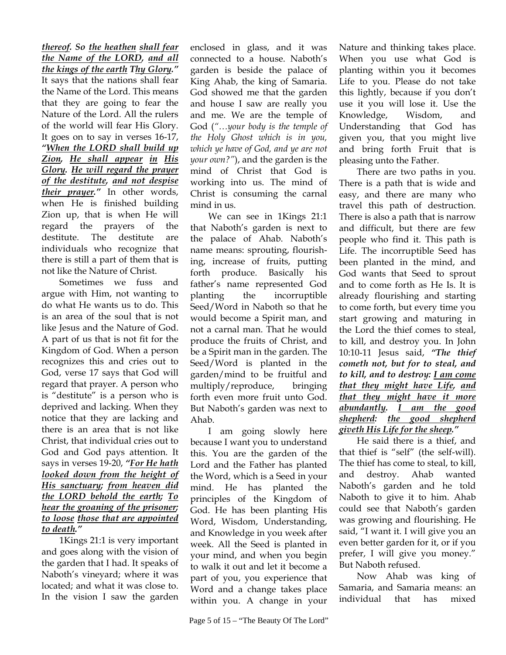*thereof. So the heathen shall fear the Name of the LORD, and all the kings of the earth Thy Glory."*  It says that the nations shall fear the Name of the Lord. This means that they are going to fear the Nature of the Lord. All the rulers of the world will fear His Glory. It goes on to say in verses 16-17, *"When the LORD shall build up Zion, He shall appear in His Glory. He will regard the prayer of the destitute, and not despise their prayer."* In other words, when He is finished building Zion up, that is when He will regard the prayers of the destitute. The destitute are individuals who recognize that there is still a part of them that is not like the Nature of Christ.

Sometimes we fuss and argue with Him, not wanting to do what He wants us to do. This is an area of the soul that is not like Jesus and the Nature of God. A part of us that is not fit for the Kingdom of God. When a person recognizes this and cries out to God, verse 17 says that God will regard that prayer. A person who is "destitute" is a person who is deprived and lacking. When they notice that they are lacking and there is an area that is not like Christ, that individual cries out to God and God pays attention. It says in verses 19-20, *"For He hath looked down from the height of His sanctuary; from heaven did the LORD behold the earth; To hear the groaning of the prisoner; to loose those that are appointed to death."*

1Kings 21:1 is very important and goes along with the vision of the garden that I had. It speaks of Naboth's vineyard; where it was located; and what it was close to. In the vision I saw the garden enclosed in glass, and it was connected to a house. Naboth's garden is beside the palace of King Ahab, the king of Samaria. God showed me that the garden and house I saw are really you and me. We are the temple of God (*"…your body is the temple of the Holy Ghost which is in you, which ye have of God, and ye are not your own?"*), and the garden is the mind of Christ that God is working into us. The mind of Christ is consuming the carnal mind in us.

We can see in 1Kings 21:1 that Naboth's garden is next to the palace of Ahab. Naboth's name means: sprouting, flourishing, increase of fruits, putting forth produce. Basically his father's name represented God planting the incorruptible Seed/Word in Naboth so that he would become a Spirit man, and not a carnal man. That he would produce the fruits of Christ, and be a Spirit man in the garden. The Seed/Word is planted in the garden/mind to be fruitful and multiply/reproduce, bringing forth even more fruit unto God. But Naboth's garden was next to Ahab.

I am going slowly here because I want you to understand this. You are the garden of the Lord and the Father has planted the Word, which is a Seed in your mind. He has planted the principles of the Kingdom of God. He has been planting His Word, Wisdom, Understanding, and Knowledge in you week after week. All the Seed is planted in your mind, and when you begin to walk it out and let it become a part of you, you experience that Word and a change takes place within you. A change in your

Nature and thinking takes place. When you use what God is planting within you it becomes Life to you. Please do not take this lightly, because if you don't use it you will lose it. Use the Knowledge, Wisdom, and Understanding that God has given you, that you might live and bring forth Fruit that is pleasing unto the Father.

There are two paths in you. There is a path that is wide and easy, and there are many who travel this path of destruction. There is also a path that is narrow and difficult, but there are few people who find it. This path is Life. The incorruptible Seed has been planted in the mind, and God wants that Seed to sprout and to come forth as He Is. It is already flourishing and starting to come forth, but every time you start growing and maturing in the Lord the thief comes to steal, to kill, and destroy you. In John 10:10-11 Jesus said, *"The thief cometh not, but for to steal, and to kill, and to destroy: I am come that they might have Life, and that they might have it more abundantly. I am the good shepherd: the good shepherd giveth His Life for the sheep."* 

He said there is a thief, and that thief is "self" (the self-will). The thief has come to steal, to kill, and destroy. Ahab wanted Naboth's garden and he told Naboth to give it to him. Ahab could see that Naboth's garden was growing and flourishing. He said, "I want it. I will give you an even better garden for it, or if you prefer, I will give you money." But Naboth refused.

Now Ahab was king of Samaria, and Samaria means: an individual that has mixed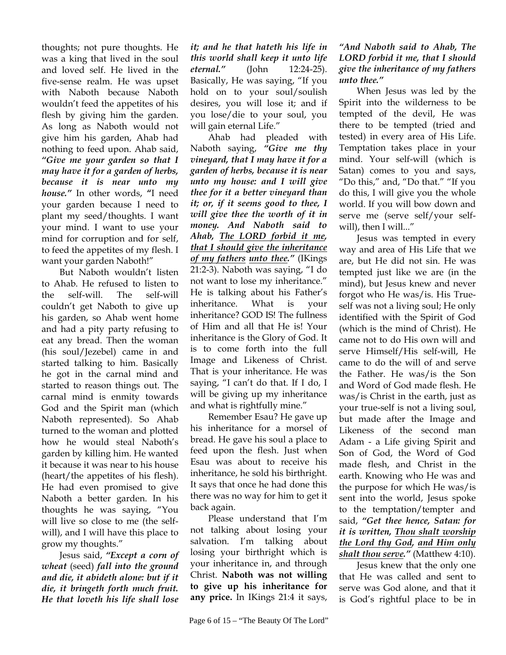thoughts; not pure thoughts. He was a king that lived in the soul and loved self. He lived in the five-sense realm. He was upset with Naboth because Naboth wouldn't feed the appetites of his flesh by giving him the garden. As long as Naboth would not give him his garden, Ahab had nothing to feed upon. Ahab said, *"Give me your garden so that I may have it for a garden of herbs, because it is near unto my house."* In other words, **"**I need your garden because I need to plant my seed/thoughts. I want your mind. I want to use your mind for corruption and for self, to feed the appetites of my flesh. I want your garden Naboth!"

But Naboth wouldn't listen to Ahab. He refused to listen to the self-will. The self-will couldn't get Naboth to give up his garden, so Ahab went home and had a pity party refusing to eat any bread. Then the woman (his soul/Jezebel) came in and started talking to him. Basically he got in the carnal mind and started to reason things out. The carnal mind is enmity towards God and the Spirit man (which Naboth represented). So Ahab turned to the woman and plotted how he would steal Naboth's garden by killing him. He wanted it because it was near to his house (heart/the appetites of his flesh). He had even promised to give Naboth a better garden. In his thoughts he was saying, "You will live so close to me (the selfwill), and I will have this place to grow my thoughts."

Jesus said, *"Except a corn of wheat* (seed) *fall into the ground and die, it abideth alone: but if it die, it bringeth forth much fruit. He that loveth his life shall lose* 

*it; and he that hateth his life in this world shall keep it unto life eternal."* (John 12:24-25). Basically, He was saying, "If you hold on to your soul/soulish desires, you will lose it; and if you lose/die to your soul, you will gain eternal Life."

Ahab had pleaded with Naboth saying, *"Give me thy vineyard, that I may have it for a garden of herbs, because it is near unto my house: and I will give thee for it a better vineyard than it; or, if it seems good to thee, I will give thee the worth of it in money. And Naboth said to Ahab, The LORD forbid it me, that I should give the inheritance of my fathers unto thee."* (IKings 21:2-3). Naboth was saying, "I do not want to lose my inheritance." He is talking about his Father's inheritance. What is your inheritance? GOD IS! The fullness of Him and all that He is! Your inheritance is the Glory of God. It is to come forth into the full Image and Likeness of Christ. That is your inheritance. He was saying, "I can't do that. If I do, I will be giving up my inheritance and what is rightfully mine."

Remember Esau? He gave up his inheritance for a morsel of bread. He gave his soul a place to feed upon the flesh. Just when Esau was about to receive his inheritance, he sold his birthright. It says that once he had done this there was no way for him to get it back again.

Please understand that I'm not talking about losing your salvation. I'm talking about losing your birthright which is your inheritance in, and through Christ. **Naboth was not willing to give up his inheritance for any price.** In IKings 21:4 it says,

## *"And Naboth said to Ahab, The LORD forbid it me, that I should give the inheritance of my fathers unto thee."*

When Jesus was led by the Spirit into the wilderness to be tempted of the devil, He was there to be tempted (tried and tested) in every area of His Life. Temptation takes place in your mind. Your self-will (which is Satan) comes to you and says, "Do this," and, "Do that." "If you do this, I will give you the whole world. If you will bow down and serve me (serve self/your selfwill), then I will..."

Jesus was tempted in every way and area of His Life that we are, but He did not sin. He was tempted just like we are (in the mind), but Jesus knew and never forgot who He was/is. His Trueself was not a living soul; He only identified with the Spirit of God (which is the mind of Christ). He came not to do His own will and serve Himself/His self-will, He came to do the will of and serve the Father. He was/is the Son and Word of God made flesh. He was/is Christ in the earth, just as your true-self is not a living soul, but made after the Image and Likeness of the second man Adam - a Life giving Spirit and Son of God, the Word of God made flesh, and Christ in the earth. Knowing who He was and the purpose for which He was/is sent into the world, Jesus spoke to the temptation/tempter and said, *"Get thee hence, Satan: for it is written, Thou shalt worship the Lord thy God, and Him only shalt thou serve."* (Matthew 4:10).

Jesus knew that the only one that He was called and sent to serve was God alone, and that it is God's rightful place to be in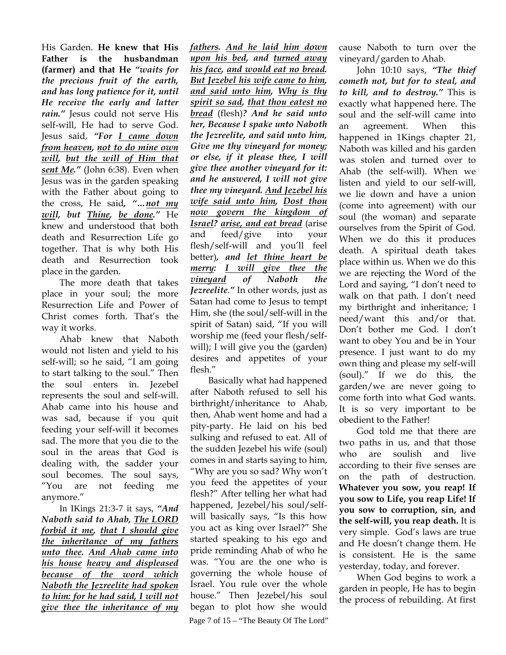His Garden. **He knew that His Father is the husbandman (farmer) and that He** *"waits for the precious fruit of the earth, and has long patience for it, until He receive the early and latter rain."* Jesus could not serve His self-will, He had to serve God. Jesus said, *"For I came down from heaven, not to do mine own will, but the will of Him that sent Me."* (John 6:38). Even when Jesus was in the garden speaking with the Father about going to the cross, He said*, "…not my will, but Thine, be done."* He knew and understood that both death and Resurrection Life go together. That is why both His death and Resurrection took place in the garden.

The more death that takes place in your soul; the more Resurrection Life and Power of Christ comes forth. That's the way it works.

Ahab knew that Naboth would not listen and yield to his self-will; so he said, "I am going to start talking to the soul." Then the soul enters in. Jezebel represents the soul and self-will. Ahab came into his house and was sad, because if you quit feeding your self-will it becomes sad. The more that you die to the soul in the areas that God is dealing with, the sadder your soul becomes. The soul says, "You are not feeding me anymore."

In IKings 21:3-7 it says, *"And Naboth said to Ahab, The LORD forbid it me, that I should give the inheritance of my fathers unto thee. And Ahab came into his house heavy and displeased because of the word which Naboth the Jezreelite had spoken to him: for he had said, I will not give thee the inheritance of my*  *fathers. And he laid him down upon his bed, and turned away his face, and would eat no bread. But Jezebel his wife came to him, and said unto him, Why is thy spirit so sad, that thou eatest no bread* (flesh)*? And he said unto her, Because I spake unto Naboth the Jezreelite, and said unto him, Give me thy vineyard for money; or else, if it please thee, I will give thee another vineyard for it: and he answered, I will not give thee my vineyard. And Jezebel his wife said unto him, Dost thou now govern the kingdom of Israel? arise, and eat bread* (arise and feed/give into your flesh/self-will and you'll feel better)*, and let thine heart be merry: I will give thee the vineyard of Naboth the Jezreelite*.*"* In other words, just as Satan had come to Jesus to tempt Him, she (the soul/self-will in the spirit of Satan) said, "If you will worship me (feed your flesh/selfwill); I will give you the (garden) desires and appetites of your flesh."

Page 7 of 15 – "The Beauty Of The Lord" Basically what had happened after Naboth refused to sell his birthright/inheritance to Ahab, then, Ahab went home and had a pity-party. He laid on his bed sulking and refused to eat. All of the sudden Jezebel his wife (soul) comes in and starts saying to him, "Why are you so sad? Why won't you feed the appetites of your flesh?" After telling her what had happened, Jezebel/his soul/selfwill basically says, "Is this how you act as king over Israel?" She started speaking to his ego and pride reminding Ahab of who he was. "You are the one who is governing the whole house of Israel. You rule over the whole house." Then Jezebel/his soul began to plot how she would

cause Naboth to turn over the vineyard/garden to Ahab.

John 10:10 says, *"The thief cometh not, but for to steal, and to kill, and to destroy."* This is exactly what happened here. The soul and the self-will came into an agreement. When this happened in 1Kings chapter 21, Naboth was killed and his garden was stolen and turned over to Ahab (the self-will). When we listen and yield to our self-will, we lie down and have a union (come into agreement) with our soul (the woman) and separate ourselves from the Spirit of God. When we do this it produces death. A spiritual death takes place within us. When we do this we are rejecting the Word of the Lord and saying, "I don't need to walk on that path. I don't need my birthright and inheritance; I need/want this and/or that. Don't bother me God. I don't want to obey You and be in Your presence. I just want to do my own thing and please my self-will (soul)." If we do this, the garden/we are never going to come forth into what God wants. It is so very important to be obedient to the Father!

God told me that there are two paths in us, and that those who are soulish and live according to their five senses are on the path of destruction. **Whatever you sow, you reap! If you sow to Life, you reap Life! If you sow to corruption, sin, and the self-will, you reap death.** It is very simple. God's laws are true and He doesn't change them. He is consistent. He is the same yesterday, today, and forever.

When God begins to work a garden in people, He has to begin the process of rebuilding. At first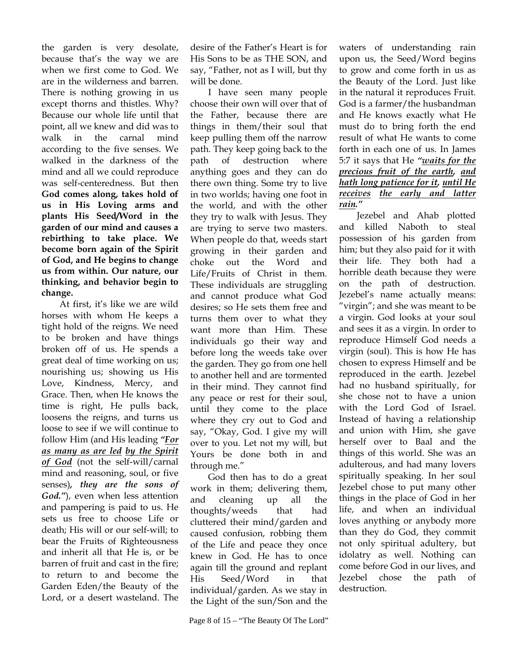the garden is very desolate, because that's the way we are when we first come to God. We are in the wilderness and barren. There is nothing growing in us except thorns and thistles. Why? Because our whole life until that point, all we knew and did was to walk in the carnal mind according to the five senses. We walked in the darkness of the mind and all we could reproduce was self-centeredness. But then **God comes along, takes hold of us in His Loving arms and plants His Seed/Word in the garden of our mind and causes a rebirthing to take place. We become born again of the Spirit of God, and He begins to change us from within. Our nature, our thinking, and behavior begin to change.**

At first, it's like we are wild horses with whom He keeps a tight hold of the reigns. We need to be broken and have things broken off of us. He spends a great deal of time working on us; nourishing us; showing us His Love, Kindness, Mercy, and Grace. Then, when He knows the time is right, He pulls back, loosens the reigns, and turns us loose to see if we will continue to follow Him (and His leading *"For as many as are led by the Spirit of God* (not the self-will/carnal mind and reasoning, soul, or five senses)*, they are the sons of God."*), even when less attention and pampering is paid to us. He sets us free to choose Life or death; His will or our self-will; to bear the Fruits of Righteousness and inherit all that He is, or be barren of fruit and cast in the fire; to return to and become the Garden Eden/the Beauty of the Lord, or a desert wasteland. The

desire of the Father's Heart is for His Sons to be as THE SON, and say, "Father, not as I will, but thy will be done.

I have seen many people choose their own will over that of the Father, because there are things in them/their soul that keep pulling them off the narrow path. They keep going back to the path of destruction where anything goes and they can do there own thing. Some try to live in two worlds; having one foot in the world, and with the other they try to walk with Jesus. They are trying to serve two masters. When people do that, weeds start growing in their garden and choke out the Word and Life/Fruits of Christ in them. These individuals are struggling and cannot produce what God desires; so He sets them free and turns them over to what they want more than Him. These individuals go their way and before long the weeds take over the garden. They go from one hell to another hell and are tormented in their mind. They cannot find any peace or rest for their soul, until they come to the place where they cry out to God and say, "Okay, God. I give my will over to you. Let not my will, but Yours be done both in and through me."

God then has to do a great work in them; delivering them, and cleaning up all the thoughts/weeds that had cluttered their mind/garden and caused confusion, robbing them of the Life and peace they once knew in God. He has to once again till the ground and replant His Seed/Word in that individual/garden. As we stay in the Light of the sun/Son and the

waters of understanding rain upon us, the Seed/Word begins to grow and come forth in us as the Beauty of the Lord. Just like in the natural it reproduces Fruit. God is a farmer/the husbandman and He knows exactly what He must do to bring forth the end result of what He wants to come forth in each one of us. In James 5:7 it says that He *"waits for the precious fruit of the earth, and hath long patience for it, until He receives the early and latter rain."*

Jezebel and Ahab plotted and killed Naboth to steal possession of his garden from him; but they also paid for it with their life. They both had a horrible death because they were on the path of destruction. Jezebel's name actually means: "virgin"; and she was meant to be a virgin. God looks at your soul and sees it as a virgin. In order to reproduce Himself God needs a virgin (soul). This is how He has chosen to express Himself and be reproduced in the earth. Jezebel had no husband spiritually, for she chose not to have a union with the Lord God of Israel. Instead of having a relationship and union with Him, she gave herself over to Baal and the things of this world. She was an adulterous, and had many lovers spiritually speaking. In her soul Jezebel chose to put many other things in the place of God in her life, and when an individual loves anything or anybody more than they do God, they commit not only spiritual adultery, but idolatry as well. Nothing can come before God in our lives, and Jezebel chose the path of destruction.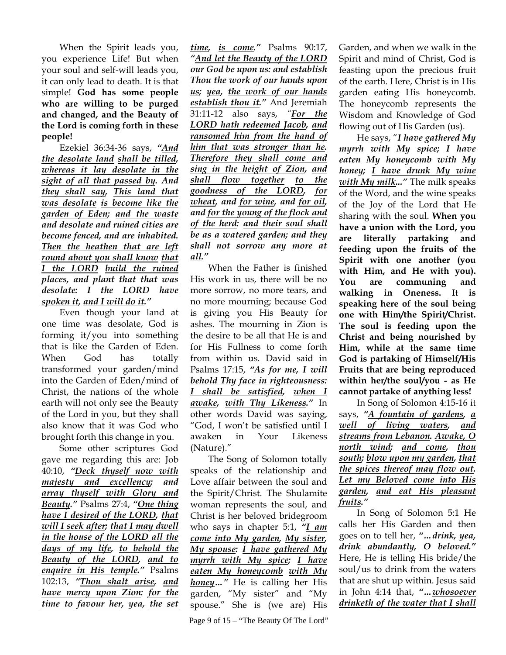When the Spirit leads you, you experience Life! But when your soul and self-will leads you, it can only lead to death. It is that simple! **God has some people who are willing to be purged and changed, and the Beauty of the Lord is coming forth in these people!**

Ezekiel 36:34-36 says, *"And the desolate land shall be tilled, whereas it lay desolate in the sight of all that passed by. And they shall say, This land that was desolate is become like the garden of Eden; and the waste and desolate and ruined cities are become fenced, and are inhabited. Then the heathen that are left round about you shall know that I the LORD build the ruined places, and plant that that was desolate: I the LORD have spoken it, and I will do it."* 

Even though your land at one time was desolate, God is forming it/you into something that is like the Garden of Eden. When God has totally transformed your garden/mind into the Garden of Eden/mind of Christ, the nations of the whole earth will not only see the Beauty of the Lord in you, but they shall also know that it was God who brought forth this change in you.

Some other scriptures God gave me regarding this are: Job 40:10, *"Deck thyself now with majesty and excellency; and array thyself with Glory and Beauty."* Psalms 27:4, *"One thing have I desired of the LORD, that will I seek after; that I may dwell in the house of the LORD all the days of my life, to behold the Beauty of the LORD, and to enquire in His temple."* Psalms 102:13, *"Thou shalt arise, and have mercy upon Zion: for the time to favour her, yea, the set* 

*time, is come."* Psalms 90:17, *"And let the Beauty of the LORD our God be upon us: and establish Thou the work of our hands upon us; yea, the work of our hands establish thou it."* And Jeremiah 31:11-12 also says, *"For the LORD hath redeemed Jacob, and ransomed him from the hand of him that was stronger than he. Therefore they shall come and sing in the height of Zion, and shall flow together to the goodness of the LORD, for wheat, and for wine, and for oil, and for the young of the flock and of the herd: and their soul shall be as a watered garden; and they shall not sorrow any more at all."*

When the Father is finished His work in us, there will be no more sorrow, no more tears, and no more mourning; because God is giving you His Beauty for ashes. The mourning in Zion is the desire to be all that He is and for His Fullness to come forth from within us. David said in Psalms 17:15, *"As for me, I will behold Thy face in righteousness: I shall be satisfied, when I awake, with Thy Likeness."* In other words David was saying, "God, I won't be satisfied until I awaken in Your Likeness (Nature)."

The Song of Solomon totally speaks of the relationship and Love affair between the soul and the Spirit/Christ. The Shulamite woman represents the soul, and Christ is her beloved bridegroom who says in chapter 5:1, *"I am come into My garden, My sister, My spouse: I have gathered My myrrh with My spice; I have eaten My honeycomb with My honey…"* He is calling her His garden, "My sister" and "My spouse." She is (we are) His

Page 9 of 15 – "The Beauty Of The Lord"

Garden, and when we walk in the Spirit and mind of Christ, God is feasting upon the precious fruit of the earth. Here, Christ is in His garden eating His honeycomb. The honeycomb represents the Wisdom and Knowledge of God flowing out of His Garden (us).

He says, "*I have gathered My myrrh with My spice; I have eaten My honeycomb with My honey; I have drunk My wine with My milk..."* The milk speaks of the Word, and the wine speaks of the Joy of the Lord that He sharing with the soul. **When you have a union with the Lord, you are literally partaking and feeding upon the fruits of the Spirit with one another (you with Him, and He with you). You are communing and walking in Oneness. It is speaking here of the soul being one with Him/the Spirit/Christ. The soul is feeding upon the Christ and being nourished by Him, while at the same time God is partaking of Himself/His Fruits that are being reproduced within her/the soul/you - as He cannot partake of anything less!** 

In Song of Solomon 4:15-16 it says, *"A fountain of gardens, a well of living waters, and streams from Lebanon. Awake, O north wind; and come, thou south; blow upon my garden, that the spices thereof may flow out. Let my Beloved come into His garden, and eat His pleasant fruits."*

In Song of Solomon 5:1 He calls her His Garden and then goes on to tell her, *"…drink, yea, drink abundantly, O beloved."* Here, He is telling His bride/the soul/us to drink from the waters that are shut up within. Jesus said in John 4:14 that, *"…whosoever drinketh of the water that I shall*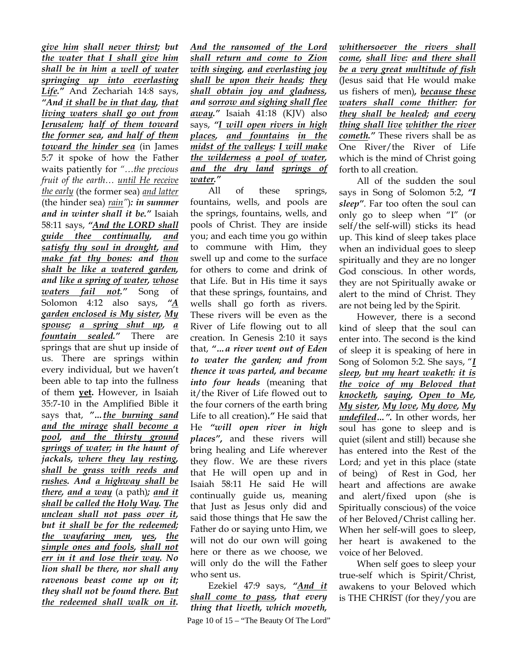*give him shall never thirst; but the water that I shall give him shall be in him a well of water springing up into everlasting*  Life." And Zechariah 14:8 says, *"And it shall be in that day, that living waters shall go out from Jerusalem; half of them toward the former sea, and half of them toward the hinder sea* (in James 5:7 it spoke of how the Father waits patiently for *"…the precious fruit of the earth… until He receive the early* (the former sea) *and latter* (the hinder sea) *rain"*)*: in summer and in winter shall it be."* Isaiah 58:11 says, *"And the LORD shall guide thee continually, and satisfy thy soul in drought, and make fat thy bones: and thou shalt be like a watered garden, and like a spring of water, whose waters fail not."* Song of Solomon 4:12 also says, *"A garden enclosed is My sister, My spouse; a spring shut up, a fountain sealed."* There are springs that are shut up inside of us. There are springs within every individual, but we haven't been able to tap into the fullness of them **yet.** However, in Isaiah 35:7-10 in the Amplified Bible it says that, *"…the burning sand and the mirage shall become a pool, and the thirsty ground springs of water; in the haunt of jackals, where they lay resting, shall be grass with reeds and rushes. And a highway shall be there, and a way* (a path)*; and it shall be called the Holy Way. The unclean shall not pass over it, but it shall be for the redeemed; the wayfaring men, yes, the simple ones and fools, shall not err in it and lose their way. No lion shall be there, nor shall any ravenous beast come up on it; they shall not be found there. But the redeemed shall walk on it.* 

*And the ransomed of the Lord shall return and come to Zion with singing, and everlasting joy shall be upon their heads; they shall obtain joy and gladness, and sorrow and sighing shall flee away."* Isaiah 41:18 (KJV) also says, *"I will open rivers in high places, and fountains in the midst of the valleys: I will make the wilderness a pool of water, and the dry land springs of water."*

All of these springs, fountains, wells, and pools are the springs, fountains, wells, and pools of Christ. They are inside you; and each time you go within to commune with Him, they swell up and come to the surface for others to come and drink of that Life. But in His time it says that these springs, fountains, and wells shall go forth as rivers. These rivers will be even as the River of Life flowing out to all creation. In Genesis 2:10 it says that, *"…a river went out of Eden to water the garden; and from thence it was parted, and became into four heads* (meaning that it/the River of Life flowed out to the four corners of the earth bring Life to all creation)**.***"* He said that He *"will open river in high places"***,** and these rivers will bring healing and Life wherever they flow. We are these rivers that He will open up and in Isaiah 58:11 He said He will continually guide us, meaning that Just as Jesus only did and said those things that He saw the Father do or saying unto Him, we will not do our own will going here or there as we choose, we will only do the will the Father who sent us.

Page 10 of 15 – "The Beauty Of The Lord" Ezekiel 47:9 says, *"And it shall come to pass, that every thing that liveth, which moveth,* 

*whithersoever the rivers shall come, shall live: and there shall be a very great multitude of fish* (Jesus said that He would make us fishers of men)*, because these waters shall come thither: for they shall be healed; and every thing shall live whither the river cometh."* These rivers shall be as One River/the River of Life which is the mind of Christ going forth to all creation.

All of the sudden the soul says in Song of Solomon 5:2, *"I sleep"*. Far too often the soul can only go to sleep when "I" (or self/the self-will) sticks its head up. This kind of sleep takes place when an individual goes to sleep spiritually and they are no longer God conscious. In other words, they are not Spiritually awake or alert to the mind of Christ. They are not being led by the Spirit.

However, there is a second kind of sleep that the soul can enter into. The second is the kind of sleep it is speaking of here in Song of Solomon 5:2. She says, "*I sleep, but my heart waketh: it is the voice of my Beloved that knocketh, saying, Open to Me, My sister, My love, My dove, My undefiled…".* In other words, her soul has gone to sleep and is quiet (silent and still) because she has entered into the Rest of the Lord; and yet in this place (state of being) of Rest in God, her heart and affections are awake and alert/fixed upon (she is Spiritually conscious) of the voice of her Beloved/Christ calling her. When her self-will goes to sleep, her heart is awakened to the voice of her Beloved.

When self goes to sleep your true-self which is Spirit/Christ, awakens to your Beloved which is THE CHRIST (for they/you are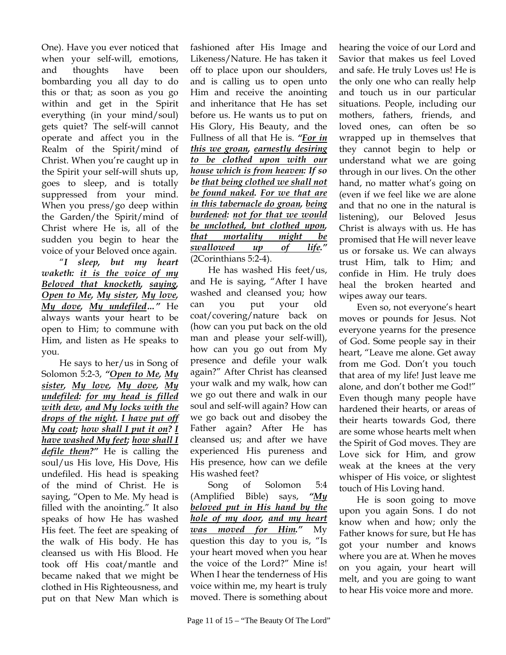One). Have you ever noticed that when your self-will, emotions, and thoughts have been bombarding you all day to do this or that; as soon as you go within and get in the Spirit everything (in your mind/soul) gets quiet? The self-will cannot operate and affect you in the Realm of the Spirit/mind of Christ. When you're caught up in the Spirit your self-will shuts up, goes to sleep, and is totally suppressed from your mind. When you press/go deep within the Garden/the Spirit/mind of Christ where He is, all of the sudden you begin to hear the voice of your Beloved once again.

"*I sleep, but my heart waketh: it is the voice of my Beloved that knocketh, saying, Open to Me, My sister, My love, My dove, My undefiled…"* He always wants your heart to be open to Him; to commune with Him, and listen as He speaks to you.

He says to her/us in Song of Solomon 5:2-3, *"Open to Me, My sister, My love, My dove, My undefiled: for my head is filled with dew, and My locks with the drops of the night. I have put off My coat; how shall I put it on? I have washed My feet; how shall I defile them?"* He is calling the soul/us His love, His Dove, His undefiled. His head is speaking of the mind of Christ. He is saying, "Open to Me. My head is filled with the anointing." It also speaks of how He has washed His feet. The feet are speaking of the walk of His body. He has cleansed us with His Blood. He took off His coat/mantle and became naked that we might be clothed in His Righteousness, and put on that New Man which is

fashioned after His Image and Likeness/Nature. He has taken it off to place upon our shoulders, and is calling us to open unto Him and receive the anointing and inheritance that He has set before us. He wants us to put on His Glory, His Beauty, and the Fullness of all that He is. *"For in this we groan, earnestly desiring to be clothed upon with our house which is from heaven: If so be that being clothed we shall not be found naked. For we that are in this tabernacle do groan, being burdened: not for that we would be unclothed, but clothed upon, that mortality might be swallowed up of life."* (2Corinthians 5:2-4).

He has washed His feet/us, and He is saying, "After I have washed and cleansed you; how can you put your old coat/covering/nature back on (how can you put back on the old man and please your self-will), how can you go out from My presence and defile your walk again?" After Christ has cleansed your walk and my walk, how can we go out there and walk in our soul and self-will again? How can we go back out and disobey the Father again? After He has cleansed us; and after we have experienced His pureness and His presence, how can we defile His washed feet?

Song of Solomon 5:4 (Amplified Bible) says, *"My beloved put in His hand by the hole of my door, and my heart was moved for Him."* My question this day to you is, "Is your heart moved when you hear the voice of the Lord?" Mine is! When I hear the tenderness of His voice within me, my heart is truly moved. There is something about hearing the voice of our Lord and Savior that makes us feel Loved and safe. He truly Loves us! He is the only one who can really help and touch us in our particular situations. People, including our mothers, fathers, friends, and loved ones, can often be so wrapped up in themselves that they cannot begin to help or understand what we are going through in our lives. On the other hand, no matter what's going on (even if we feel like we are alone and that no one in the natural is listening), our Beloved Jesus Christ is always with us. He has promised that He will never leave us or forsake us. We can always trust Him, talk to Him; and confide in Him. He truly does heal the broken hearted and wipes away our tears.

Even so, not everyone's heart moves or pounds for Jesus. Not everyone yearns for the presence of God. Some people say in their heart, "Leave me alone. Get away from me God. Don't you touch that area of my life! Just leave me alone, and don't bother me God!" Even though many people have hardened their hearts, or areas of their hearts towards God, there are some whose hearts melt when the Spirit of God moves. They are Love sick for Him, and grow weak at the knees at the very whisper of His voice, or slightest touch of His Loving hand.

He is soon going to move upon you again Sons. I do not know when and how; only the Father knows for sure, but He has got your number and knows where you are at. When he moves on you again, your heart will melt, and you are going to want to hear His voice more and more.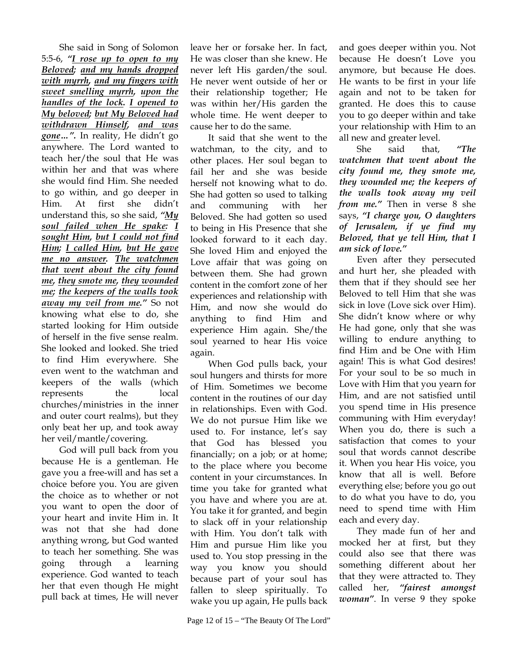She said in Song of Solomon 5:5-6, *"I rose up to open to my Beloved; and my hands dropped with myrrh, and my fingers with sweet smelling myrrh, upon the handles of the lock. I opened to My beloved; but My Beloved had withdrawn Himself, and was gone…".* In reality, He didn't go anywhere. The Lord wanted to teach her/the soul that He was within her and that was where she would find Him. She needed to go within, and go deeper in Him. At first she didn't understand this, so she said, *"My soul failed when He spake: I sought Him, but I could not find Him; I called Him, but He gave me no answer. The watchmen that went about the city found me, they smote me, they wounded me; the keepers of the walls took away my veil from me."* So not knowing what else to do, she started looking for Him outside of herself in the five sense realm. She looked and looked. She tried to find Him everywhere. She even went to the watchman and keepers of the walls (which represents the local churches/ministries in the inner and outer court realms), but they only beat her up, and took away her veil/mantle/covering.

God will pull back from you because He is a gentleman. He gave you a free-will and has set a choice before you. You are given the choice as to whether or not you want to open the door of your heart and invite Him in. It was not that she had done anything wrong, but God wanted to teach her something. She was going through a learning experience. God wanted to teach her that even though He might pull back at times, He will never

leave her or forsake her. In fact, He was closer than she knew. He never left His garden/the soul. He never went outside of her or their relationship together; He was within her/His garden the whole time. He went deeper to cause her to do the same.

It said that she went to the watchman, to the city, and to other places. Her soul began to fail her and she was beside herself not knowing what to do. She had gotten so used to talking and communing with her Beloved. She had gotten so used to being in His Presence that she looked forward to it each day. She loved Him and enjoyed the Love affair that was going on between them. She had grown content in the comfort zone of her experiences and relationship with Him, and now she would do anything to find Him and experience Him again. She/the soul yearned to hear His voice again.

When God pulls back, your soul hungers and thirsts for more of Him. Sometimes we become content in the routines of our day in relationships. Even with God. We do not pursue Him like we used to. For instance, let's say that God has blessed you financially; on a job; or at home; to the place where you become content in your circumstances. In time you take for granted what you have and where you are at. You take it for granted, and begin to slack off in your relationship with Him. You don't talk with Him and pursue Him like you used to. You stop pressing in the way you know you should because part of your soul has fallen to sleep spiritually. To wake you up again, He pulls back and goes deeper within you. Not because He doesn't Love you anymore, but because He does. He wants to be first in your life again and not to be taken for granted. He does this to cause you to go deeper within and take your relationship with Him to an all new and greater level.

She said that, *"The watchmen that went about the city found me, they smote me, they wounded me; the keepers of the walls took away my veil from me."* Then in verse 8 she says, *"I charge you, O daughters of Jerusalem, if ye find my Beloved, that ye tell Him, that I am sick of love."*

Even after they persecuted and hurt her, she pleaded with them that if they should see her Beloved to tell Him that she was sick in love (Love sick over Him). She didn't know where or why He had gone, only that she was willing to endure anything to find Him and be One with Him again! This is what God desires! For your soul to be so much in Love with Him that you yearn for Him, and are not satisfied until you spend time in His presence communing with Him everyday! When you do, there is such a satisfaction that comes to your soul that words cannot describe it. When you hear His voice, you know that all is well. Before everything else; before you go out to do what you have to do, you need to spend time with Him each and every day.

They made fun of her and mocked her at first, but they could also see that there was something different about her that they were attracted to. They called her, *"fairest amongst woman"*. In verse 9 they spoke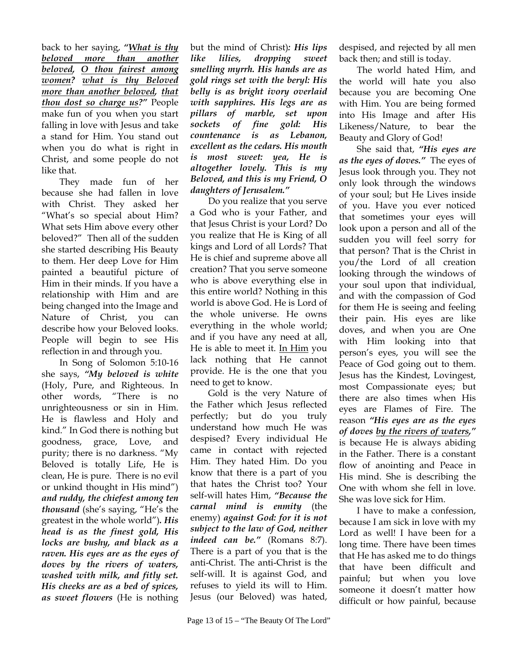back to her saying, *"What is thy beloved more than another beloved, O thou fairest among women? what is thy Beloved more than another beloved, that thou dost so charge us?"* People make fun of you when you start falling in love with Jesus and take a stand for Him. You stand out when you do what is right in Christ, and some people do not like that.

They made fun of her because she had fallen in love with Christ. They asked her "What's so special about Him? What sets Him above every other beloved?" Then all of the sudden she started describing His Beauty to them. Her deep Love for Him painted a beautiful picture of Him in their minds. If you have a relationship with Him and are being changed into the Image and Nature of Christ, you can describe how your Beloved looks. People will begin to see His reflection in and through you.

In Song of Solomon 5:10-16 she says, *"My beloved is white* (Holy, Pure, and Righteous. In other words, "There is no unrighteousness or sin in Him. He is flawless and Holy and kind." In God there is nothing but goodness, grace, Love, and purity; there is no darkness. "My Beloved is totally Life, He is clean, He is pure. There is no evil or unkind thought in His mind") *and ruddy, the chiefest among ten thousand* (she's saying, "He's the greatest in the whole world")*. His head is as the finest gold, His locks are bushy, and black as a raven. His eyes are as the eyes of doves by the rivers of waters, washed with milk, and fitly set. His cheeks are as a bed of spices, as sweet flowers* (He is nothing

but the mind of Christ)*: His lips like lilies, dropping sweet smelling myrrh. His hands are as gold rings set with the beryl: His belly is as bright ivory overlaid with sapphires. His legs are as pillars of marble, set upon sockets of fine gold: His countenance is as Lebanon, excellent as the cedars. His mouth is most sweet: yea, He is altogether lovely. This is my Beloved, and this is my Friend, O daughters of Jerusalem."*

Do you realize that you serve a God who is your Father, and that Jesus Christ is your Lord? Do you realize that He is King of all kings and Lord of all Lords? That He is chief and supreme above all creation? That you serve someone who is above everything else in this entire world? Nothing in this world is above God. He is Lord of the whole universe. He owns everything in the whole world; and if you have any need at all, He is able to meet it. In Him you lack nothing that He cannot provide. He is the one that you need to get to know.

Gold is the very Nature of the Father which Jesus reflected perfectly; but do you truly understand how much He was despised? Every individual He came in contact with rejected Him. They hated Him. Do you know that there is a part of you that hates the Christ too? Your self-will hates Him, *"Because the carnal mind is enmity* (the enemy) *against God: for it is not subject to the law of God, neither indeed can be."* (Romans 8:7). There is a part of you that is the anti-Christ. The anti-Christ is the self-will. It is against God, and refuses to yield its will to Him. Jesus (our Beloved) was hated,

despised, and rejected by all men back then; and still is today.

The world hated Him, and the world will hate you also because you are becoming One with Him. You are being formed into His Image and after His Likeness/Nature, to bear the Beauty and Glory of God!

She said that, *"His eyes are as the eyes of doves."* The eyes of Jesus look through you. They not only look through the windows of your soul; but He Lives inside of you. Have you ever noticed that sometimes your eyes will look upon a person and all of the sudden you will feel sorry for that person? That is the Christ in you/the Lord of all creation looking through the windows of your soul upon that individual, and with the compassion of God for them He is seeing and feeling their pain. His eyes are like doves, and when you are One with Him looking into that person's eyes, you will see the Peace of God going out to them. Jesus has the Kindest, Lovingest, most Compassionate eyes; but there are also times when His eyes are Flames of Fire. The reason *"His eyes are as the eyes of doves by the rivers of waters,"* is because He is always abiding in the Father. There is a constant flow of anointing and Peace in His mind. She is describing the One with whom she fell in love. She was love sick for Him.

I have to make a confession, because I am sick in love with my Lord as well! I have been for a long time. There have been times that He has asked me to do things that have been difficult and painful; but when you love someone it doesn't matter how difficult or how painful, because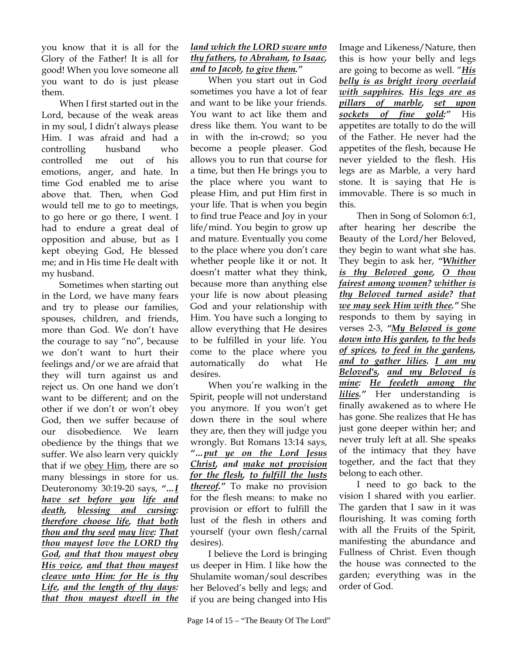you know that it is all for the Glory of the Father! It is all for good! When you love someone all you want to do is just please them.

When I first started out in the Lord, because of the weak areas in my soul, I didn't always please Him. I was afraid and had a controlling husband who controlled me out of his emotions, anger, and hate. In time God enabled me to arise above that. Then, when God would tell me to go to meetings, to go here or go there, I went. I had to endure a great deal of opposition and abuse, but as I kept obeying God, He blessed me; and in His time He dealt with my husband.

Sometimes when starting out in the Lord, we have many fears and try to please our families, spouses, children, and friends, more than God. We don't have the courage to say "no", because we don't want to hurt their feelings and/or we are afraid that they will turn against us and reject us. On one hand we don't want to be different; and on the other if we don't or won't obey God, then we suffer because of our disobedience. We learn obedience by the things that we suffer. We also learn very quickly that if we obey Him, there are so many blessings in store for us. Deuteronomy 30:19-20 says, *"…I have set before you life and death, blessing and cursing: therefore choose life, that both thou and thy seed may live: That thou mayest love the LORD thy God, and that thou mayest obey His voice, and that thou mayest cleave unto Him: for He is thy Life, and the length of thy days: that thou mayest dwell in the* 

## *land which the LORD sware unto thy fathers, to Abraham, to Isaac, and to Jacob, to give them."*

When you start out in God sometimes you have a lot of fear and want to be like your friends. You want to act like them and dress like them. You want to be in with the in-crowd; so you become a people pleaser. God allows you to run that course for a time, but then He brings you to the place where you want to please Him, and put Him first in your life. That is when you begin to find true Peace and Joy in your life/mind. You begin to grow up and mature. Eventually you come to the place where you don't care whether people like it or not. It doesn't matter what they think, because more than anything else your life is now about pleasing God and your relationship with Him. You have such a longing to allow everything that He desires to be fulfilled in your life. You come to the place where you automatically do what He desires.

When you're walking in the Spirit, people will not understand you anymore. If you won't get down there in the soul where they are, then they will judge you wrongly. But Romans 13:14 says, *"…put ye on the Lord Jesus Christ, and make not provision for the flesh, to fulfill the lusts thereof."* To make no provision for the flesh means: to make no provision or effort to fulfill the lust of the flesh in others and yourself (your own flesh/carnal desires).

I believe the Lord is bringing us deeper in Him. I like how the Shulamite woman/soul describes her Beloved's belly and legs; and if you are being changed into His Image and Likeness/Nature, then this is how your belly and legs are going to become as well. "*His belly is as bright ivory overlaid with sapphires. His legs are as pillars of marble, set upon sockets of fine gold:"* His appetites are totally to do the will of the Father. He never had the appetites of the flesh, because He never yielded to the flesh. His legs are as Marble, a very hard stone. It is saying that He is immovable. There is so much in this.

Then in Song of Solomon 6:1, after hearing her describe the Beauty of the Lord/her Beloved, they begin to want what she has. They begin to ask her, *"Whither is thy Beloved gone, O thou fairest among women? whither is thy Beloved turned aside? that we may seek Him with thee."* She responds to them by saying in verses 2-3, *"My Beloved is gone down into His garden, to the beds of spices, to feed in the gardens, and to gather lilies. I am my Beloved's, and my Beloved is mine: He feedeth among the lilies."* Her understanding is finally awakened as to where He has gone. She realizes that He has just gone deeper within her; and never truly left at all. She speaks of the intimacy that they have together, and the fact that they belong to each other.

I need to go back to the vision I shared with you earlier. The garden that I saw in it was flourishing. It was coming forth with all the Fruits of the Spirit, manifesting the abundance and Fullness of Christ. Even though the house was connected to the garden; everything was in the order of God.